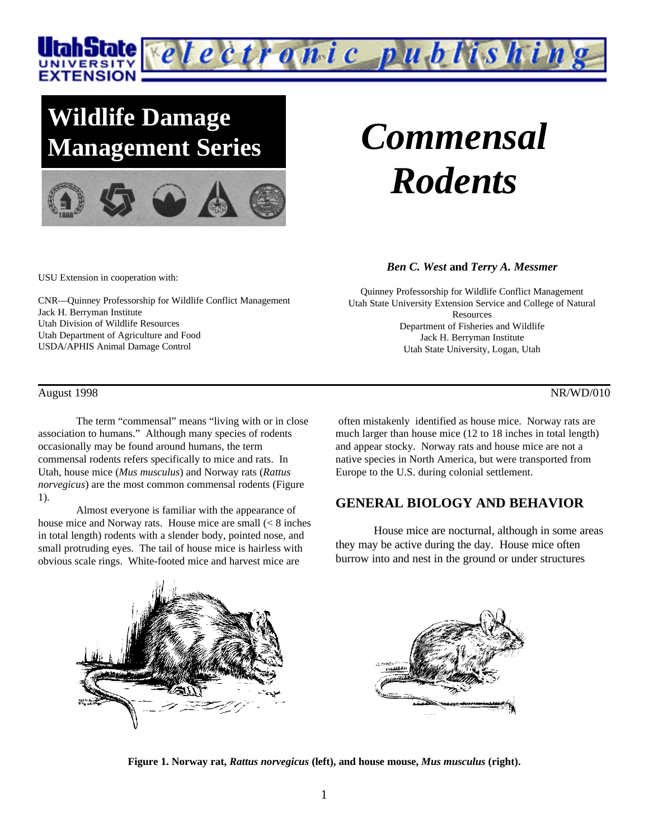

## **Wildlife Damage Management Series** *Commensal*



# *Rodents*

USU Extension in cooperation with:

CNR—Quinney Professorship for Wildlife Conflict Management Jack H. Berryman Institute Utah Division of Wildlife Resources Utah Department of Agriculture and Food USDA/APHIS Animal Damage Control

#### August 1998 NR/WD/010

The term "commensal" means "living with or in close association to humans." Although many species of rodents occasionally may be found around humans, the term commensal rodents refers specifically to mice and rats. In Utah, house mice (*Mus musculus*) and Norway rats (*Rattus norvegicus*) are the most common commensal rodents (Figure 1).

Almost everyone is familiar with the appearance of house mice and Norway rats. House mice are small  $\leq 8$  inches in total length) rodents with a slender body, pointed nose, and small protruding eyes. The tail of house mice is hairless with obvious scale rings. White-footed mice and harvest mice are

*Ben C. West* **and** *Terry A. Messmer*

Quinney Professorship for Wildlife Conflict Management Utah State University Extension Service and College of Natural **Resources** Department of Fisheries and Wildlife Jack H. Berryman Institute Utah State University, Logan, Utah

 often mistakenly identified as house mice. Norway rats are much larger than house mice (12 to 18 inches in total length) and appear stocky. Norway rats and house mice are not a native species in North America, but were transported from Europe to the U.S. during colonial settlement.

### **GENERAL BIOLOGY AND BEHAVIOR**

House mice are nocturnal, although in some areas they may be active during the day. House mice often burrow into and nest in the ground or under structures



**Figure 1. Norway rat,** *Rattus norvegicus* **(left), and house mouse,** *Mus musculus* **(right).**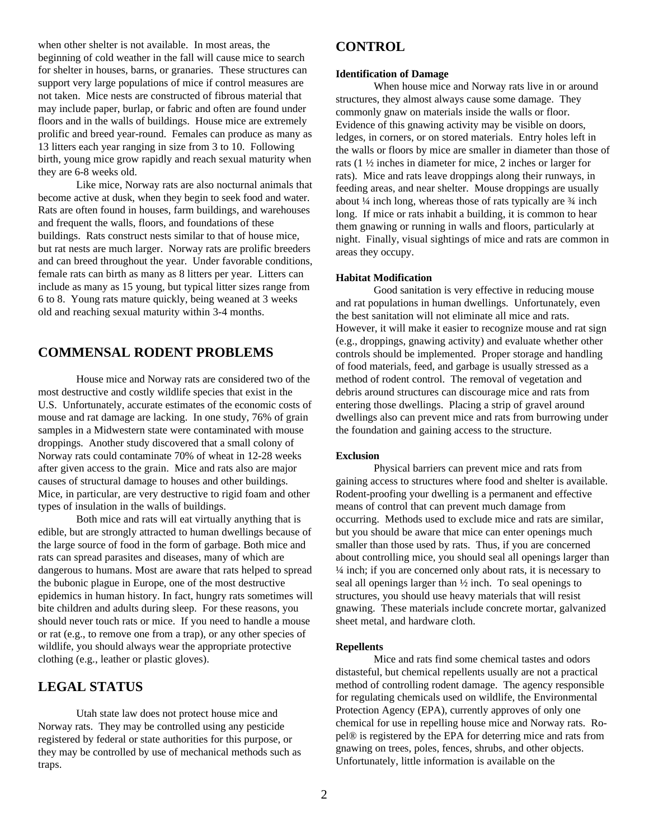when other shelter is not available. In most areas, the beginning of cold weather in the fall will cause mice to search for shelter in houses, barns, or granaries. These structures can support very large populations of mice if control measures are not taken. Mice nests are constructed of fibrous material that may include paper, burlap, or fabric and often are found under floors and in the walls of buildings. House mice are extremely prolific and breed year-round. Females can produce as many as 13 litters each year ranging in size from 3 to 10. Following birth, young mice grow rapidly and reach sexual maturity when they are 6-8 weeks old.

Like mice, Norway rats are also nocturnal animals that become active at dusk, when they begin to seek food and water. Rats are often found in houses, farm buildings, and warehouses and frequent the walls, floors, and foundations of these buildings. Rats construct nests similar to that of house mice, but rat nests are much larger. Norway rats are prolific breeders and can breed throughout the year. Under favorable conditions, female rats can birth as many as 8 litters per year. Litters can include as many as 15 young, but typical litter sizes range from 6 to 8. Young rats mature quickly, being weaned at 3 weeks old and reaching sexual maturity within 3-4 months.

### **COMMENSAL RODENT PROBLEMS**

House mice and Norway rats are considered two of the most destructive and costly wildlife species that exist in the U.S. Unfortunately, accurate estimates of the economic costs of mouse and rat damage are lacking. In one study, 76% of grain samples in a Midwestern state were contaminated with mouse droppings. Another study discovered that a small colony of Norway rats could contaminate 70% of wheat in 12-28 weeks after given access to the grain. Mice and rats also are major causes of structural damage to houses and other buildings. Mice, in particular, are very destructive to rigid foam and other types of insulation in the walls of buildings.

Both mice and rats will eat virtually anything that is edible, but are strongly attracted to human dwellings because of the large source of food in the form of garbage. Both mice and rats can spread parasites and diseases, many of which are dangerous to humans. Most are aware that rats helped to spread the bubonic plague in Europe, one of the most destructive epidemics in human history. In fact, hungry rats sometimes will bite children and adults during sleep. For these reasons, you should never touch rats or mice. If you need to handle a mouse or rat (e.g., to remove one from a trap), or any other species of wildlife, you should always wear the appropriate protective clothing (e.g., leather or plastic gloves).

#### **LEGAL STATUS**

Utah state law does not protect house mice and Norway rats. They may be controlled using any pesticide registered by federal or state authorities for this purpose, or they may be controlled by use of mechanical methods such as traps.

#### **CONTROL**

#### **Identification of Damage**

When house mice and Norway rats live in or around structures, they almost always cause some damage. They commonly gnaw on materials inside the walls or floor. Evidence of this gnawing activity may be visible on doors, ledges, in corners, or on stored materials. Entry holes left in the walls or floors by mice are smaller in diameter than those of rats (1 ½ inches in diameter for mice, 2 inches or larger for rats). Mice and rats leave droppings along their runways, in feeding areas, and near shelter. Mouse droppings are usually about  $\frac{1}{4}$  inch long, whereas those of rats typically are  $\frac{3}{4}$  inch long. If mice or rats inhabit a building, it is common to hear them gnawing or running in walls and floors, particularly at night. Finally, visual sightings of mice and rats are common in areas they occupy.

#### **Habitat Modification**

Good sanitation is very effective in reducing mouse and rat populations in human dwellings. Unfortunately, even the best sanitation will not eliminate all mice and rats. However, it will make it easier to recognize mouse and rat sign (e.g., droppings, gnawing activity) and evaluate whether other controls should be implemented. Proper storage and handling of food materials, feed, and garbage is usually stressed as a method of rodent control. The removal of vegetation and debris around structures can discourage mice and rats from entering those dwellings. Placing a strip of gravel around dwellings also can prevent mice and rats from burrowing under the foundation and gaining access to the structure.

#### **Exclusion**

Physical barriers can prevent mice and rats from gaining access to structures where food and shelter is available. Rodent-proofing your dwelling is a permanent and effective means of control that can prevent much damage from occurring. Methods used to exclude mice and rats are similar, but you should be aware that mice can enter openings much smaller than those used by rats. Thus, if you are concerned about controlling mice, you should seal all openings larger than ¼ inch; if you are concerned only about rats, it is necessary to seal all openings larger than ½ inch. To seal openings to structures, you should use heavy materials that will resist gnawing. These materials include concrete mortar, galvanized sheet metal, and hardware cloth.

#### **Repellents**

Mice and rats find some chemical tastes and odors distasteful, but chemical repellents usually are not a practical method of controlling rodent damage. The agency responsible for regulating chemicals used on wildlife, the Environmental Protection Agency (EPA), currently approves of only one chemical for use in repelling house mice and Norway rats. Ropel® is registered by the EPA for deterring mice and rats from gnawing on trees, poles, fences, shrubs, and other objects. Unfortunately, little information is available on the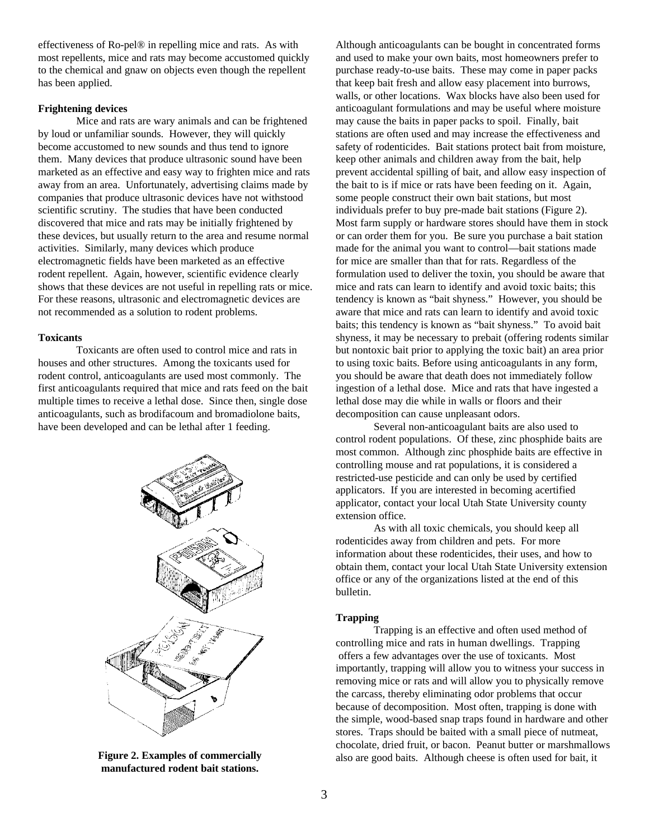effectiveness of Ro-pel® in repelling mice and rats. As with most repellents, mice and rats may become accustomed quickly to the chemical and gnaw on objects even though the repellent has been applied.

#### **Frightening devices**

Mice and rats are wary animals and can be frightened by loud or unfamiliar sounds. However, they will quickly become accustomed to new sounds and thus tend to ignore them. Many devices that produce ultrasonic sound have been marketed as an effective and easy way to frighten mice and rats away from an area. Unfortunately, advertising claims made by companies that produce ultrasonic devices have not withstood scientific scrutiny. The studies that have been conducted discovered that mice and rats may be initially frightened by these devices, but usually return to the area and resume normal activities. Similarly, many devices which produce electromagnetic fields have been marketed as an effective rodent repellent. Again, however, scientific evidence clearly shows that these devices are not useful in repelling rats or mice. For these reasons, ultrasonic and electromagnetic devices are not recommended as a solution to rodent problems.

#### **Toxicants**

Toxicants are often used to control mice and rats in houses and other structures. Among the toxicants used for rodent control, anticoagulants are used most commonly. The first anticoagulants required that mice and rats feed on the bait multiple times to receive a lethal dose. Since then, single dose anticoagulants, such as brodifacoum and bromadiolone baits, have been developed and can be lethal after 1 feeding.



**Figure 2. Examples of commercially manufactured rodent bait stations.**

Although anticoagulants can be bought in concentrated forms and used to make your own baits, most homeowners prefer to purchase ready-to-use baits. These may come in paper packs that keep bait fresh and allow easy placement into burrows, walls, or other locations. Wax blocks have also been used for anticoagulant formulations and may be useful where moisture may cause the baits in paper packs to spoil. Finally, bait stations are often used and may increase the effectiveness and safety of rodenticides. Bait stations protect bait from moisture, keep other animals and children away from the bait, help prevent accidental spilling of bait, and allow easy inspection of the bait to is if mice or rats have been feeding on it. Again, some people construct their own bait stations, but most individuals prefer to buy pre-made bait stations (Figure 2). Most farm supply or hardware stores should have them in stock or can order them for you. Be sure you purchase a bait station made for the animal you want to control—bait stations made for mice are smaller than that for rats. Regardless of the formulation used to deliver the toxin, you should be aware that mice and rats can learn to identify and avoid toxic baits; this tendency is known as "bait shyness." However, you should be aware that mice and rats can learn to identify and avoid toxic baits; this tendency is known as "bait shyness." To avoid bait shyness, it may be necessary to prebait (offering rodents similar but nontoxic bait prior to applying the toxic bait) an area prior to using toxic baits. Before using anticoagulants in any form, you should be aware that death does not immediately follow ingestion of a lethal dose. Mice and rats that have ingested a lethal dose may die while in walls or floors and their decomposition can cause unpleasant odors.

Several non-anticoagulant baits are also used to control rodent populations. Of these, zinc phosphide baits are most common. Although zinc phosphide baits are effective in controlling mouse and rat populations, it is considered a restricted-use pesticide and can only be used by certified applicators. If you are interested in becoming acertified applicator, contact your local Utah State University county extension office.

As with all toxic chemicals, you should keep all rodenticides away from children and pets. For more information about these rodenticides, their uses, and how to obtain them, contact your local Utah State University extension office or any of the organizations listed at the end of this bulletin.

#### **Trapping**

Trapping is an effective and often used method of controlling mice and rats in human dwellings. Trapping offers a few advantages over the use of toxicants. Most importantly, trapping will allow you to witness your success in removing mice or rats and will allow you to physically remove the carcass, thereby eliminating odor problems that occur because of decomposition. Most often, trapping is done with the simple, wood-based snap traps found in hardware and other stores. Traps should be baited with a small piece of nutmeat, chocolate, dried fruit, or bacon. Peanut butter or marshmallows also are good baits. Although cheese is often used for bait, it